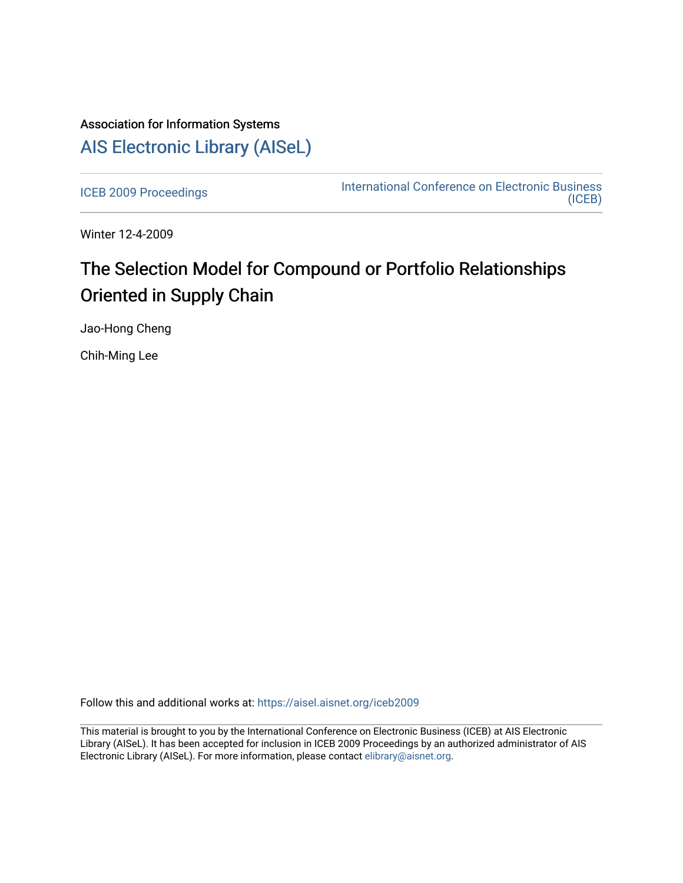## Association for Information Systems [AIS Electronic Library \(AISeL\)](https://aisel.aisnet.org/)

[ICEB 2009 Proceedings](https://aisel.aisnet.org/iceb2009) **International Conference on Electronic Business** [\(ICEB\)](https://aisel.aisnet.org/iceb) 

Winter 12-4-2009

# The Selection Model for Compound or Portfolio Relationships Oriented in Supply Chain

Jao-Hong Cheng

Chih-Ming Lee

Follow this and additional works at: [https://aisel.aisnet.org/iceb2009](https://aisel.aisnet.org/iceb2009?utm_source=aisel.aisnet.org%2Ficeb2009%2F78&utm_medium=PDF&utm_campaign=PDFCoverPages)

This material is brought to you by the International Conference on Electronic Business (ICEB) at AIS Electronic Library (AISeL). It has been accepted for inclusion in ICEB 2009 Proceedings by an authorized administrator of AIS Electronic Library (AISeL). For more information, please contact [elibrary@aisnet.org.](mailto:elibrary@aisnet.org%3E)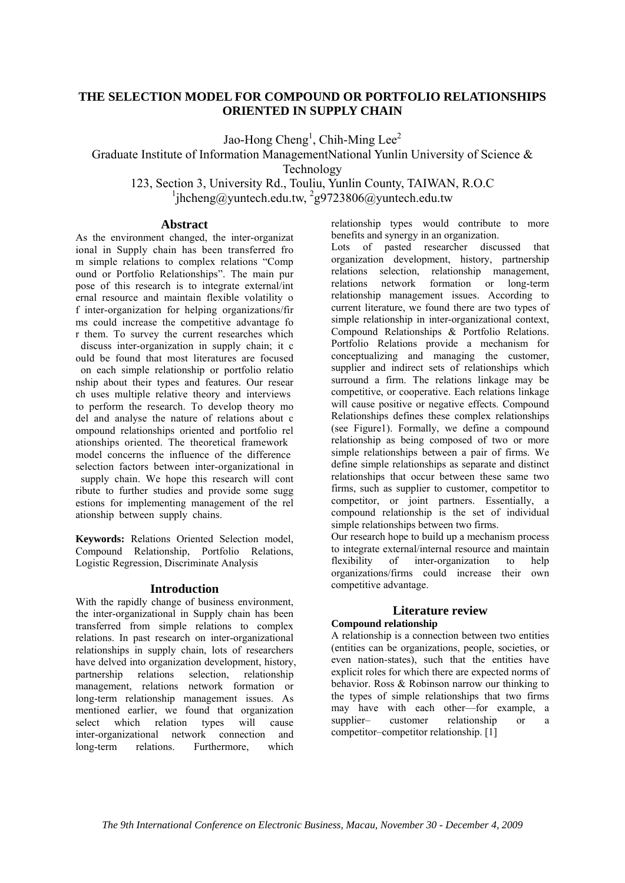## **THE SELECTION MODEL FOR COMPOUND OR PORTFOLIO RELATIONSHIPS ORIENTED IN SUPPLY CHAIN**

Jao-Hong Cheng<sup>1</sup>, Chih-Ming Lee<sup>2</sup>

Graduate Institute of Information ManagementNational Yunlin University of Science & Technology

123, Section 3, University Rd., Touliu, Yunlin County, TAIWAN, R.O.C  $1$ jhcheng@yuntech.edu.tw,  $2$ g9723806@yuntech.edu.tw

### **Abstract**

As the environment changed, the inter-organizat ional in Supply chain has been transferred fro m simple relations to complex relations "Comp ound or Portfolio Relationships". The main pur pose of this research is to integrate external/int ernal resource and maintain flexible volatility o f inter-organization for helping organizations/fir ms could increase the competitive advantage fo r them. To survey the current researches which discuss inter-organization in supply chain; it c ould be found that most literatures are focused on each simple relationship or portfolio relatio nship about their types and features. Our resear ch uses multiple relative theory and interviews to perform the research. To develop theory mo del and analyse the nature of relations about c ompound relationships oriented and portfolio rel ationships oriented. The theoretical framework model concerns the influence of the difference selection factors between inter-organizational in supply chain. We hope this research will cont ribute to further studies and provide some sugg estions for implementing management of the rel ationship between supply chains.

**Keywords:** Relations Oriented Selection model, Compound Relationship, Portfolio Relations, Logistic Regression, Discriminate Analysis

## **Introduction**

With the rapidly change of business environment, the inter-organizational in Supply chain has been transferred from simple relations to complex relations. In past research on inter-organizational relationships in supply chain, lots of researchers have delved into organization development, history,<br>partnership relations selection, relationship partnership relations selection, relationship management, relations network formation or long-term relationship management issues. As mentioned earlier, we found that organization select which relation types will cause inter-organizational network connection and long-term relations. Furthermore, which

relationship types would contribute to more benefits and synergy in an organization.

Lots of pasted researcher discussed that organization development, history, partnership relations selection, relationship management,<br>relations network formation or long-term network formation or long-term relationship management issues. According to current literature, we found there are two types of simple relationship in inter-organizational context, Compound Relationships & Portfolio Relations. Portfolio Relations provide a mechanism for conceptualizing and managing the customer, supplier and indirect sets of relationships which surround a firm. The relations linkage may be competitive, or cooperative. Each relations linkage will cause positive or negative effects. Compound Relationships defines these complex relationships (see Figure1). Formally, we define a compound relationship as being composed of two or more simple relationships between a pair of firms. We define simple relationships as separate and distinct relationships that occur between these same two firms, such as supplier to customer, competitor to competitor, or joint partners. Essentially, a compound relationship is the set of individual simple relationships between two firms.

Our research hope to build up a mechanism process to integrate external/internal resource and maintain flexibility of inter-organization to help organizations/firms could increase their own competitive advantage.

## **Literature review**

## **Compound relationship**

A relationship is a connection between two entities (entities can be organizations, people, societies, or even nation-states), such that the entities have explicit roles for which there are expected norms of behavior. Ross & Robinson narrow our thinking to the types of simple relationships that two firms may have with each other—for example, a<br>supplier—customer relationship or a supplier– customer relationship or a competitor–competitor relationship. [1]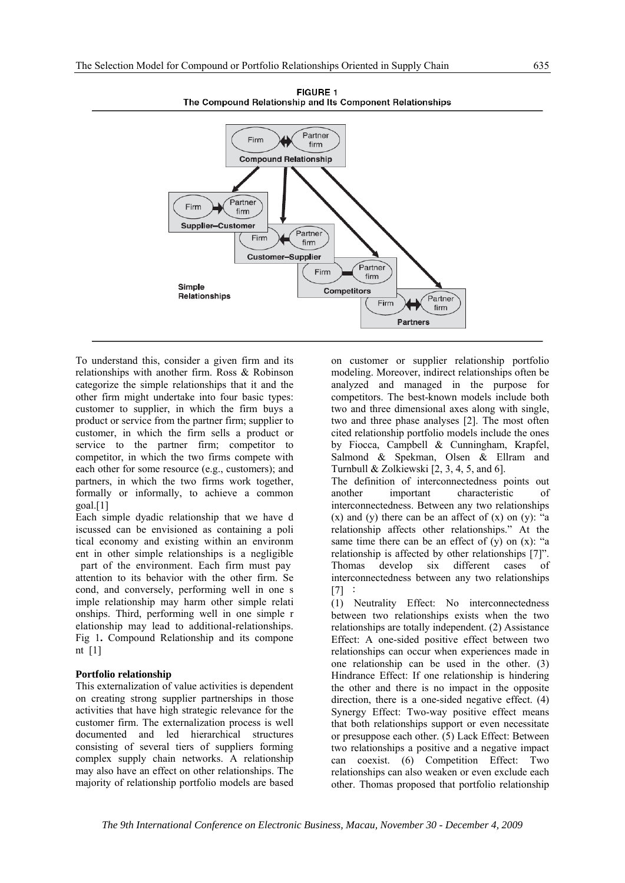

To understand this, consider a given firm and its relationships with another firm. Ross & Robinson categorize the simple relationships that it and the other firm might undertake into four basic types: customer to supplier, in which the firm buys a product or service from the partner firm; supplier to customer, in which the firm sells a product or service to the partner firm; competitor to competitor, in which the two firms compete with each other for some resource (e.g., customers); and partners, in which the two firms work together, formally or informally, to achieve a common goal.[1]

Each simple dyadic relationship that we have d iscussed can be envisioned as containing a poli tical economy and existing within an environm ent in other simple relationships is a negligible part of the environment. Each firm must pay attention to its behavior with the other firm. Se cond, and conversely, performing well in one s imple relationship may harm other simple relati onships. Third, performing well in one simple r elationship may lead to additional-relationships. Fig 1**.** Compound Relationship and its compone nt [1]

#### **Portfolio relationship**

This externalization of value activities is dependent on creating strong supplier partnerships in those activities that have high strategic relevance for the customer firm. The externalization process is well documented and led hierarchical structures consisting of several tiers of suppliers forming complex supply chain networks. A relationship may also have an effect on other relationships. The majority of relationship portfolio models are based

on customer or supplier relationship portfolio modeling. Moreover, indirect relationships often be analyzed and managed in the purpose for competitors. The best-known models include both two and three dimensional axes along with single, two and three phase analyses [2]. The most often cited relationship portfolio models include the ones by Fiocca, Campbell & Cunningham, Krapfel, Salmond & Spekman, Olsen & Ellram and Turnbull & Zolkiewski [2, 3, 4, 5, and 6].

The definition of interconnectedness points out another important characteristic of interconnectedness. Between any two relationships  $(x)$  and  $(y)$  there can be an affect of  $(x)$  on  $(y)$ : "a relationship affects other relationships." At the same time there can be an effect of  $(v)$  on  $(x)$ : "a relationship is affected by other relationships [7]". Thomas develop six different cases of interconnectedness between any two relationships [7] :

(1) Neutrality Effect: No interconnectedness between two relationships exists when the two relationships are totally independent. (2) Assistance Effect: A one-sided positive effect between two relationships can occur when experiences made in one relationship can be used in the other. (3) Hindrance Effect: If one relationship is hindering the other and there is no impact in the opposite direction, there is a one-sided negative effect. (4) Synergy Effect: Two-way positive effect means that both relationships support or even necessitate or presuppose each other. (5) Lack Effect: Between two relationships a positive and a negative impact can coexist. (6) Competition Effect: Two relationships can also weaken or even exclude each other. Thomas proposed that portfolio relationship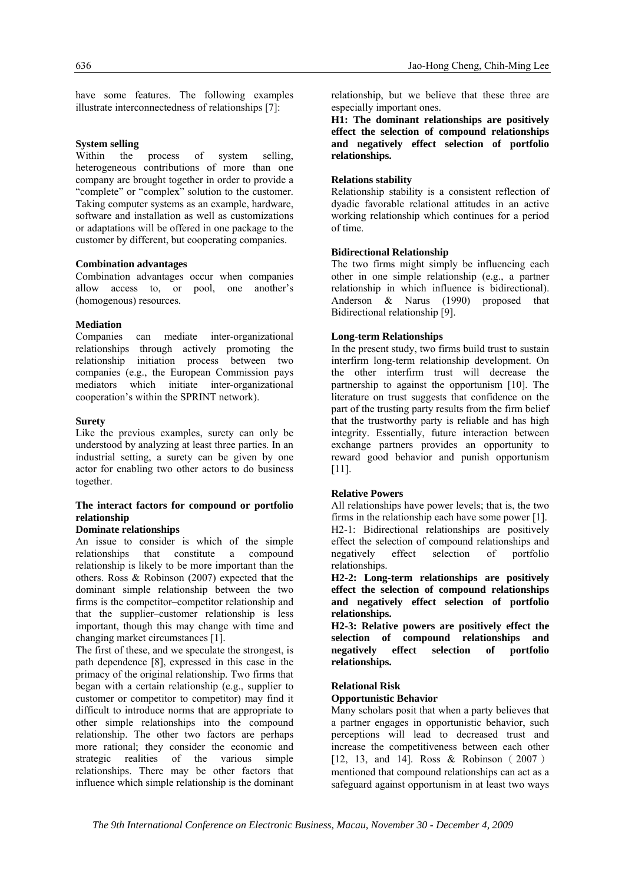have some features. The following examples illustrate interconnectedness of relationships [7]:

#### **System selling**

Within the process of system selling, heterogeneous contributions of more than one company are brought together in order to provide a "complete" or "complex" solution to the customer. Taking computer systems as an example, hardware, software and installation as well as customizations or adaptations will be offered in one package to the customer by different, but cooperating companies.

#### **Combination advantages**

Combination advantages occur when companies allow access to, or pool, one another's (homogenous) resources.

#### **Mediation**

Companies can mediate inter-organizational relationships through actively promoting the relationship initiation process between two companies (e.g., the European Commission pays mediators which initiate inter-organizational cooperation's within the SPRINT network).

#### **Surety**

Like the previous examples, surety can only be understood by analyzing at least three parties. In an industrial setting, a surety can be given by one actor for enabling two other actors to do business together.

#### **The interact factors for compound or portfolio relationship**

#### **Dominate relationships**

An issue to consider is which of the simple relationships that constitute a compound relationship is likely to be more important than the others. Ross & Robinson (2007) expected that the dominant simple relationship between the two firms is the competitor–competitor relationship and that the supplier–customer relationship is less important, though this may change with time and changing market circumstances [1].

The first of these, and we speculate the strongest, is path dependence [8], expressed in this case in the primacy of the original relationship. Two firms that began with a certain relationship (e.g., supplier to customer or competitor to competitor) may find it difficult to introduce norms that are appropriate to other simple relationships into the compound relationship. The other two factors are perhaps more rational; they consider the economic and strategic realities of the various simple relationships. There may be other factors that influence which simple relationship is the dominant relationship, but we believe that these three are especially important ones.

**H1: The dominant relationships are positively effect the selection of compound relationships and negatively effect selection of portfolio relationships.** 

#### **Relations stability**

Relationship stability is a consistent reflection of dyadic favorable relational attitudes in an active working relationship which continues for a period of time.

#### **Bidirectional Relationship**

The two firms might simply be influencing each other in one simple relationship (e.g., a partner relationship in which influence is bidirectional). Anderson & Narus (1990) proposed that Bidirectional relationship [9].

#### **Long-term Relationships**

In the present study, two firms build trust to sustain interfirm long-term relationship development. On the other interfirm trust will decrease the partnership to against the opportunism [10]. The literature on trust suggests that confidence on the part of the trusting party results from the firm belief that the trustworthy party is reliable and has high integrity. Essentially, future interaction between exchange partners provides an opportunity to reward good behavior and punish opportunism [11].

#### **Relative Powers**

All relationships have power levels; that is, the two firms in the relationship each have some power [1]. H2-1: Bidirectional relationships are positively effect the selection of compound relationships and negatively effect selection of portfolio relationships.

**H2-2: Long-term relationships are positively effect the selection of compound relationships and negatively effect selection of portfolio relationships.** 

**H2-3: Relative powers are positively effect the selection of compound relationships and negatively effect selection of portfolio relationships.** 

#### **Relational Risk**

#### **Opportunistic Behavior**

Many scholars posit that when a party believes that a partner engages in opportunistic behavior, such perceptions will lead to decreased trust and increase the competitiveness between each other [12, 13, and 14]. Ross & Robinson (2007) mentioned that compound relationships can act as a safeguard against opportunism in at least two ways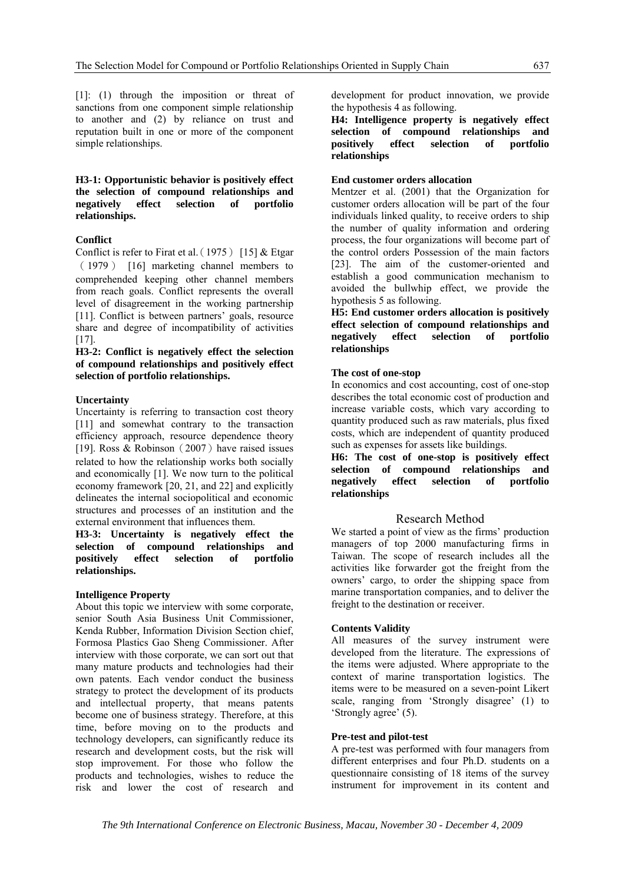[1]: (1) through the imposition or threat of sanctions from one component simple relationship to another and (2) by reliance on trust and reputation built in one or more of the component simple relationships.

**H3-1: Opportunistic behavior is positively effect the selection of compound relationships and negatively effect selection of portfolio relationships.** 

#### **Conflict**

Conflict is refer to Firat et al. (1975) [15] & Etgar (1979) [16] marketing channel members to comprehended keeping other channel members from reach goals. Conflict represents the overall level of disagreement in the working partnership [11]. Conflict is between partners' goals, resource share and degree of incompatibility of activities [17].

**H3-2: Conflict is negatively effect the selection of compound relationships and positively effect selection of portfolio relationships.** 

#### **Uncertainty**

Uncertainty is referring to transaction cost theory [11] and somewhat contrary to the transaction efficiency approach, resource dependence theory [19]. Ross & Robinson (2007) have raised issues related to how the relationship works both socially and economically [1]. We now turn to the political economy framework [20, 21, and 22] and explicitly delineates the internal sociopolitical and economic structures and processes of an institution and the external environment that influences them.

**H3-3: Uncertainty is negatively effect the selection of compound relationships and positively effect selection of portfolio relationships.** 

#### **Intelligence Property**

About this topic we interview with some corporate, senior South Asia Business Unit Commissioner, Kenda Rubber, Information Division Section chief, Formosa Plastics Gao Sheng Commissioner. After interview with those corporate, we can sort out that many mature products and technologies had their own patents. Each vendor conduct the business strategy to protect the development of its products and intellectual property, that means patents become one of business strategy. Therefore, at this time, before moving on to the products and technology developers, can significantly reduce its research and development costs, but the risk will stop improvement. For those who follow the products and technologies, wishes to reduce the risk and lower the cost of research and

development for product innovation, we provide the hypothesis 4 as following.

**H4: Intelligence property is negatively effect selection of compound relationships and positively effect selection of portfolio relationships** 

#### **End customer orders allocation**

Mentzer et al. (2001) that the Organization for customer orders allocation will be part of the four individuals linked quality, to receive orders to ship the number of quality information and ordering process, the four organizations will become part of the control orders Possession of the main factors [23]. The aim of the customer-oriented and establish a good communication mechanism to avoided the bullwhip effect, we provide the hypothesis 5 as following.

**H5: End customer orders allocation is positively effect selection of compound relationships and negatively effect selection of portfolio relationships** 

#### **The cost of one-stop**

In economics and cost accounting, cost of one-stop describes the total economic cost of production and increase variable costs, which vary according to quantity produced such as raw materials, plus fixed costs, which are independent of quantity produced such as expenses for assets like buildings.

**H6: The cost of one-stop is positively effect selection of compound relationships and negatively effect selection of portfolio relationships** 

#### Research Method

We started a point of view as the firms' production managers of top 2000 manufacturing firms in Taiwan. The scope of research includes all the activities like forwarder got the freight from the owners' cargo, to order the shipping space from marine transportation companies, and to deliver the freight to the destination or receiver.

#### **Contents Validity**

All measures of the survey instrument were developed from the literature. The expressions of the items were adjusted. Where appropriate to the context of marine transportation logistics. The items were to be measured on a seven-point Likert scale, ranging from 'Strongly disagree' (1) to 'Strongly agree' (5).

#### **Pre-test and pilot-test**

A pre-test was performed with four managers from different enterprises and four Ph.D. students on a questionnaire consisting of 18 items of the survey instrument for improvement in its content and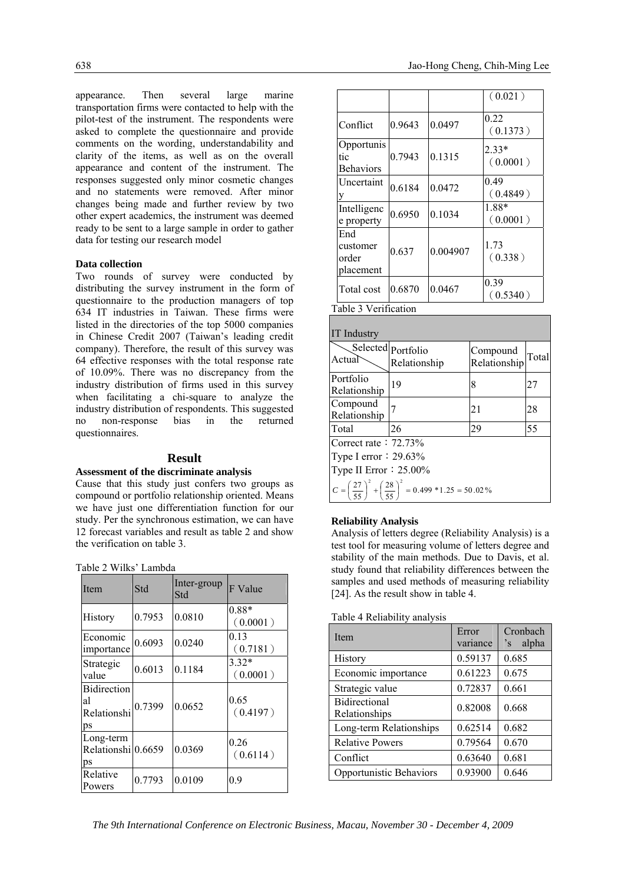appearance. Then several large marine transportation firms were contacted to help with the pilot-test of the instrument. The respondents were asked to complete the questionnaire and provide comments on the wording, understandability and clarity of the items, as well as on the overall appearance and content of the instrument. The responses suggested only minor cosmetic changes and no statements were removed. After minor changes being made and further review by two other expert academics, the instrument was deemed ready to be sent to a large sample in order to gather data for testing our research model

#### **Data collection**

Two rounds of survey were conducted by distributing the survey instrument in the form of questionnaire to the production managers of top 634 IT industries in Taiwan. These firms were listed in the directories of the top 5000 companies in Chinese Credit 2007 (Taiwan's leading credit company). Therefore, the result of this survey was 64 effective responses with the total response rate of 10.09%. There was no discrepancy from the industry distribution of firms used in this survey when facilitating a chi-square to analyze the industry distribution of respondents. This suggested no non-response bias in the returned questionnaires.

#### **Result**

#### **Assessment of the discriminate analysis**

Cause that this study just confers two groups as compound or portfolio relationship oriented. Means we have just one differentiation function for our study. Per the synchronous estimation, we can have 12 forecast variables and result as table 2 and show the verification on table 3.

|  |  | Table 2 Wilks' Lambda |
|--|--|-----------------------|
|--|--|-----------------------|

| Item                                          | Std    | Inter-group<br>Std | F Value             |
|-----------------------------------------------|--------|--------------------|---------------------|
| History                                       | 0.7953 | 0.0810             | 0.88*<br>(0.0001)   |
| Economic<br>importance                        | 0.6093 | 0.0240             | 0.13<br>(0.7181)    |
| Strategic<br>value                            | 0.6013 | 0.1184             | $3.32*$<br>(0.0001) |
| <b>Bidirection</b><br>al<br>Relationshi<br>ps | 0.7399 | 0.0652             | 0.65<br>(0.4197)    |
| Long-term<br>Relationshi 0.6659<br>ps         |        | 0.0369             | 0.26<br>(0.6114)    |
| Relative<br>Powers                            | 0.7793 | 0.0109             | 0.9                 |

|                                       |        |          | (0.021)             |
|---------------------------------------|--------|----------|---------------------|
| Conflict                              | 0.9643 | 0.0497   | 0.22<br>(0.1373)    |
| Opportunis<br>tic<br><b>Behaviors</b> | 0.7943 | 0.1315   | $2.33*$<br>(0.0001) |
| <b>Uncertaint</b>                     | 0.6184 | 0.0472   | 0.49<br>(0.4849)    |
| Intelligenc<br>e property             | 0.6950 | 0.1034   | 1.88*<br>(0.0001)   |
| End<br>customer<br>order<br>placement | 0.637  | 0.004907 | 1.73<br>(0.338)     |
| Total cost                            | 0.6870 | 0.0467   | 0.39<br>(0.5340)    |

Table 3 Verification

| <b>IT</b> Industry                                                                         |                                    |                          |       |
|--------------------------------------------------------------------------------------------|------------------------------------|--------------------------|-------|
| Actual                                                                                     | Selected portfolio<br>Relationship | Compound<br>Relationship | Total |
| Portfolio<br>Relationship                                                                  | 19                                 | 8                        | 27    |
| Compound<br>Relationship                                                                   |                                    | 21                       | 28    |
| Total                                                                                      | 26                                 | 29                       | 55    |
| Correct rate: $72.73\%$                                                                    |                                    |                          |       |
| Type I error $: 29.63\%$                                                                   |                                    |                          |       |
| Type II Error $: 25.00\%$                                                                  |                                    |                          |       |
| $C = \left(\frac{27}{55}\right)^2 + \left(\frac{28}{55}\right)^2 = 0.499 * 1.25 = 50.02\%$ |                                    |                          |       |

#### **Reliability Analysis**

Analysis of letters degree (Reliability Analysis) is a test tool for measuring volume of letters degree and stability of the main methods. Due to Davis, et al. study found that reliability differences between the samples and used methods of measuring reliability [24]. As the result show in table 4.

Table 4 Reliability analysis

| Item                                  | Error<br>variance | Cronbach<br>alpha<br>$\mathbf{S}$ |
|---------------------------------------|-------------------|-----------------------------------|
| History                               | 0.59137           | 0.685                             |
| Economic importance                   | 0.61223           | 0.675                             |
| Strategic value                       | 0.72837           | 0.661                             |
| <b>Bidirectional</b><br>Relationships | 0.82008           | 0.668                             |
| Long-term Relationships               | 0.62514           | 0.682                             |
| <b>Relative Powers</b>                | 0.79564           | 0.670                             |
| Conflict                              | 0.63640           | 0.681                             |
| Opportunistic Behaviors               | 0.93900           | 0.646                             |

*The 9th International Conference on Electronic Business, Macau, November 30 - December 4, 2009*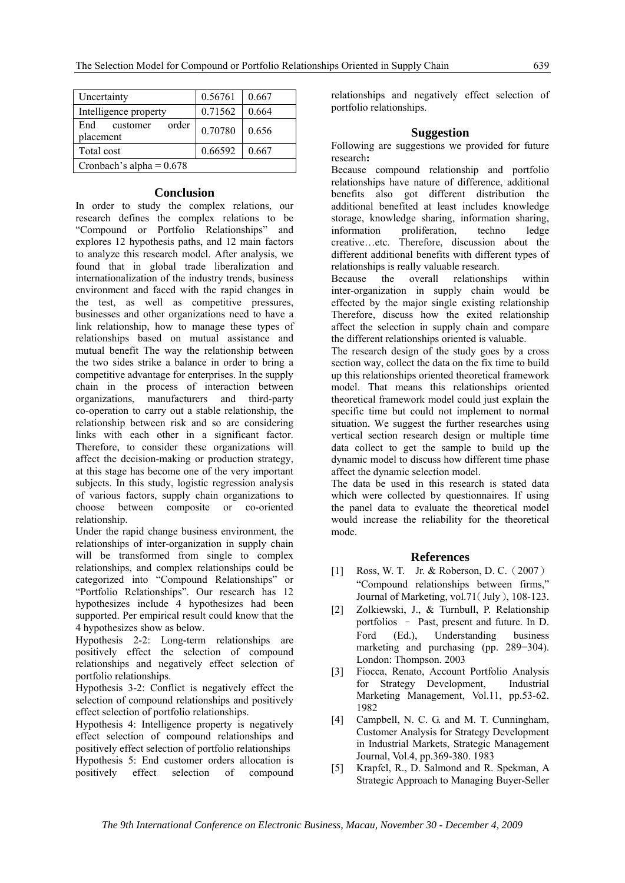| Uncertainty                           | 0.56761 | 0.667 |
|---------------------------------------|---------|-------|
| Intelligence property                 | 0.71562 | 0.664 |
| order<br>End<br>customer<br>placement | 0.70780 | 0.656 |
| Total cost                            | 0.66592 | 0.667 |
| Cronbach's alpha = $0.678$            |         |       |

## **Conclusion**

In order to study the complex relations, our research defines the complex relations to be "Compound or Portfolio Relationships" and explores 12 hypothesis paths, and 12 main factors to analyze this research model. After analysis, we found that in global trade liberalization and internationalization of the industry trends, business environment and faced with the rapid changes in the test, as well as competitive pressures, businesses and other organizations need to have a link relationship, how to manage these types of relationships based on mutual assistance and mutual benefit The way the relationship between the two sides strike a balance in order to bring a competitive advantage for enterprises. In the supply chain in the process of interaction between organizations, manufacturers and third-party co-operation to carry out a stable relationship, the relationship between risk and so are considering links with each other in a significant factor. Therefore, to consider these organizations will affect the decision-making or production strategy, at this stage has become one of the very important subjects. In this study, logistic regression analysis of various factors, supply chain organizations to choose between composite or co-oriented relationship.

Under the rapid change business environment, the relationships of inter-organization in supply chain will be transformed from single to complex relationships, and complex relationships could be categorized into "Compound Relationships" or "Portfolio Relationships". Our research has 12 hypothesizes include 4 hypothesizes had been supported. Per empirical result could know that the 4 hypothesizes show as below.

Hypothesis 2-2: Long-term relationships are positively effect the selection of compound relationships and negatively effect selection of portfolio relationships.

Hypothesis 3-2: Conflict is negatively effect the selection of compound relationships and positively effect selection of portfolio relationships.

Hypothesis 4: Intelligence property is negatively effect selection of compound relationships and positively effect selection of portfolio relationships Hypothesis 5: End customer orders allocation is positively effect selection of compound

relationships and negatively effect selection of portfolio relationships.

## **Suggestion**

Following are suggestions we provided for future research**:**

Because compound relationship and portfolio relationships have nature of difference, additional benefits also got different distribution the additional benefited at least includes knowledge storage, knowledge sharing, information sharing, information proliferation, techno ledge creative…etc. Therefore, discussion about the different additional benefits with different types of relationships is really valuable research.

Because the overall relationships within inter-organization in supply chain would be effected by the major single existing relationship Therefore, discuss how the exited relationship affect the selection in supply chain and compare the different relationships oriented is valuable.

The research design of the study goes by a cross section way, collect the data on the fix time to build up this relationships oriented theoretical framework model. That means this relationships oriented theoretical framework model could just explain the specific time but could not implement to normal situation. We suggest the further researches using vertical section research design or multiple time data collect to get the sample to build up the dynamic model to discuss how different time phase affect the dynamic selection model.

The data be used in this research is stated data which were collected by questionnaires. If using the panel data to evaluate the theoretical model would increase the reliability for the theoretical mode.

## **References**

- [1] Ross, W. T. Jr. & Roberson, D. C. (2007) "Compound relationships between firms," Journal of Marketing, vol.71(July), 108-123.
- [2] Zolkiewski, J., & Turnbull, P. Relationship portfolios – Past, present and future. In D. Ford (Ed.), Understanding business marketing and purchasing (pp. 289−304). London: Thompson. 2003
- [3] Fiocca, Renato, Account Portfolio Analysis for Strategy Development, Industrial Marketing Management, Vol.11, pp.53-62. 1982
- [4] Campbell, N. C. G. and M. T. Cunningham, Customer Analysis for Strategy Development in Industrial Markets, Strategic Management Journal, Vol.4, pp.369-380. 1983
- [5] Krapfel, R., D. Salmond and R. Spekman, A Strategic Approach to Managing Buyer-Seller